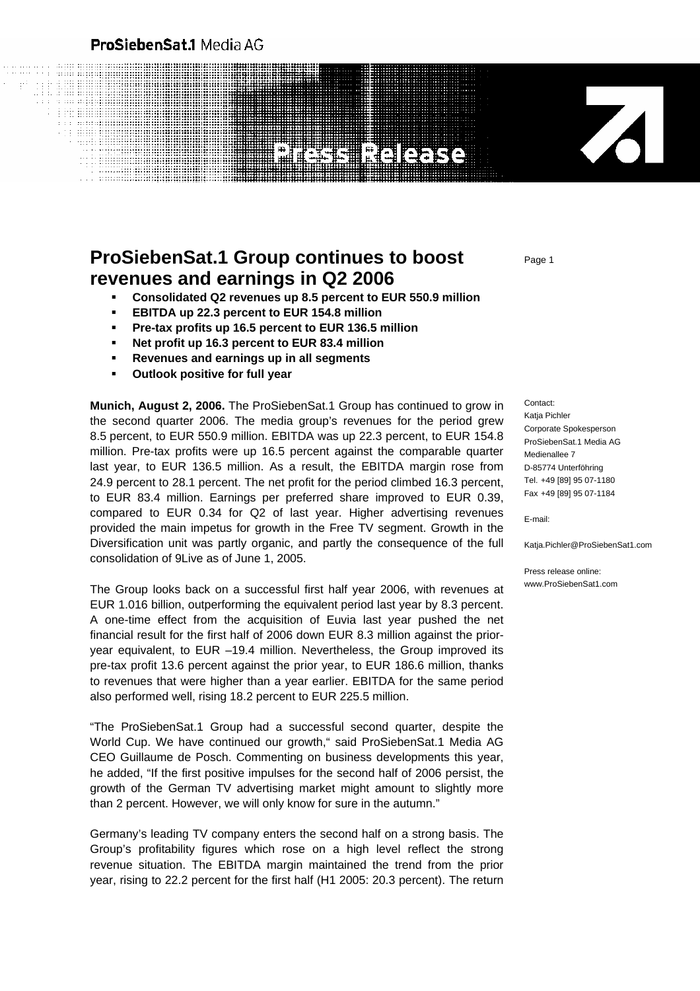### ProSiebenSat.1 Media AG

# **NEIGERS**

## **ProSiebenSat.1 Group continues to boost revenues and earnings in Q2 2006**

- **Consolidated Q2 revenues up 8.5 percent to EUR 550.9 million**
- **EBITDA up 22.3 percent to EUR 154.8 million**
- **Pre-tax profits up 16.5 percent to EUR 136.5 million**
- **Net profit up 16.3 percent to EUR 83.4 million**
- **Revenues and earnings up in all segments**
- **Outlook positive for full year**

**Munich, August 2, 2006.** The ProSiebenSat.1 Group has continued to grow in the second quarter 2006. The media group's revenues for the period grew 8.5 percent, to EUR 550.9 million. EBITDA was up 22.3 percent, to EUR 154.8 million. Pre-tax profits were up 16.5 percent against the comparable quarter last year, to EUR 136.5 million. As a result, the EBITDA margin rose from 24.9 percent to 28.1 percent. The net profit for the period climbed 16.3 percent, to EUR 83.4 million. Earnings per preferred share improved to EUR 0.39, compared to EUR 0.34 for Q2 of last year. Higher advertising revenues provided the main impetus for growth in the Free TV segment. Growth in the Diversification unit was partly organic, and partly the consequence of the full consolidation of 9Live as of June 1, 2005.

The Group looks back on a successful first half year 2006, with revenues at EUR 1.016 billion, outperforming the equivalent period last year by 8.3 percent. A one-time effect from the acquisition of Euvia last year pushed the net financial result for the first half of 2006 down EUR 8.3 million against the prioryear equivalent, to EUR –19.4 million. Nevertheless, the Group improved its pre-tax profit 13.6 percent against the prior year, to EUR 186.6 million, thanks to revenues that were higher than a year earlier. EBITDA for the same period also performed well, rising 18.2 percent to EUR 225.5 million.

"The ProSiebenSat.1 Group had a successful second quarter, despite the World Cup. We have continued our growth," said ProSiebenSat.1 Media AG CEO Guillaume de Posch. Commenting on business developments this year, he added, "If the first positive impulses for the second half of 2006 persist, the growth of the German TV advertising market might amount to slightly more than 2 percent. However, we will only know for sure in the autumn."

Germany's leading TV company enters the second half on a strong basis. The Group's profitability figures which rose on a high level reflect the strong revenue situation. The EBITDA margin maintained the trend from the prior year, rising to 22.2 percent for the first half (H1 2005: 20.3 percent). The return

 $\overline{\mathcal{A}}$ 

Contact: Katia Pichler Corporate Spokesperson ProSiebenSat.1 Media AG Medienallee 7 D-85774 Unterföhring Tel. +49 [89] 95 07-1180 Fax +49 [89] 95 07-1184

E-mail:

Katja.Pichler@ProSiebenSat1.com

Press release online: www.ProSiebenSat1.com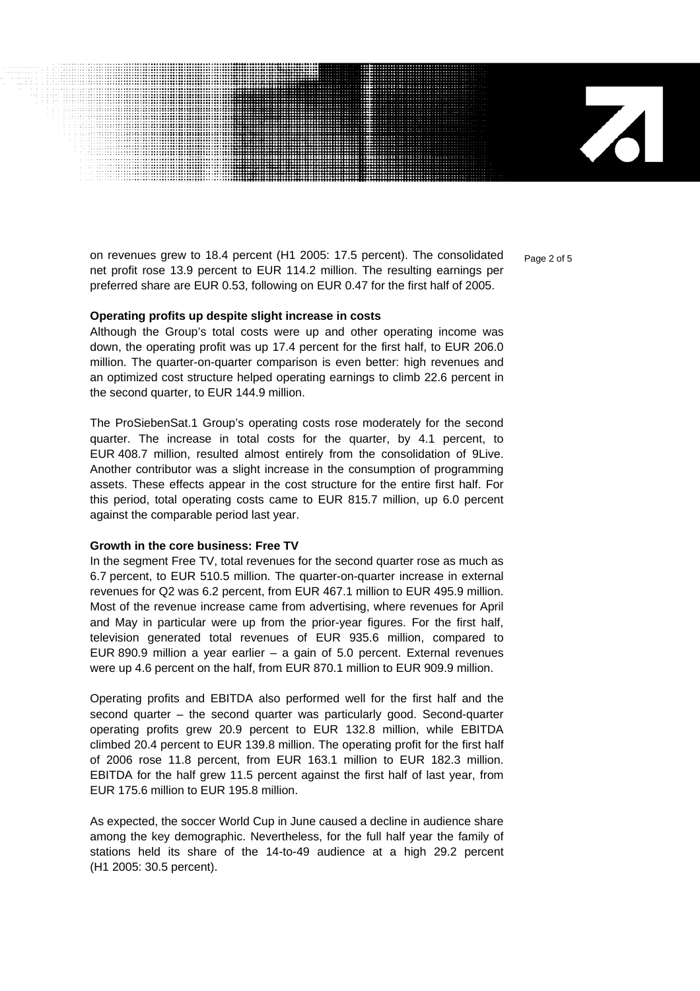$\overline{\mathbf{A}}$ 

on revenues grew to 18.4 percent (H1 2005: 17.5 percent). The consolidated  $P_{\text{aq}}$   $\geq$  of 5 net profit rose 13.9 percent to EUR 114.2 million. The resulting earnings per preferred share are EUR 0.53, following on EUR 0.47 for the first half of 2005.

#### **Operating profits up despite slight increase in costs**

Although the Group's total costs were up and other operating income was down, the operating profit was up 17.4 percent for the first half, to EUR 206.0 million. The quarter-on-quarter comparison is even better: high revenues and an optimized cost structure helped operating earnings to climb 22.6 percent in the second quarter, to EUR 144.9 million.

The ProSiebenSat.1 Group's operating costs rose moderately for the second quarter. The increase in total costs for the quarter, by 4.1 percent, to EUR 408.7 million, resulted almost entirely from the consolidation of 9Live. Another contributor was a slight increase in the consumption of programming assets. These effects appear in the cost structure for the entire first half. For this period, total operating costs came to EUR 815.7 million, up 6.0 percent against the comparable period last year.

#### **Growth in the core business: Free TV**

In the segment Free TV, total revenues for the second quarter rose as much as 6.7 percent, to EUR 510.5 million. The quarter-on-quarter increase in external revenues for Q2 was 6.2 percent, from EUR 467.1 million to EUR 495.9 million. Most of the revenue increase came from advertising, where revenues for April and May in particular were up from the prior-year figures. For the first half, television generated total revenues of EUR 935.6 million, compared to EUR 890.9 million a year earlier – a gain of 5.0 percent. External revenues were up 4.6 percent on the half, from EUR 870.1 million to EUR 909.9 million.

Operating profits and EBITDA also performed well for the first half and the second quarter – the second quarter was particularly good. Second-quarter operating profits grew 20.9 percent to EUR 132.8 million, while EBITDA climbed 20.4 percent to EUR 139.8 million. The operating profit for the first half of 2006 rose 11.8 percent, from EUR 163.1 million to EUR 182.3 million. EBITDA for the half grew 11.5 percent against the first half of last year, from EUR 175.6 million to EUR 195.8 million.

As expected, the soccer World Cup in June caused a decline in audience share among the key demographic. Nevertheless, for the full half year the family of stations held its share of the 14-to-49 audience at a high 29.2 percent (H1 2005: 30.5 percent).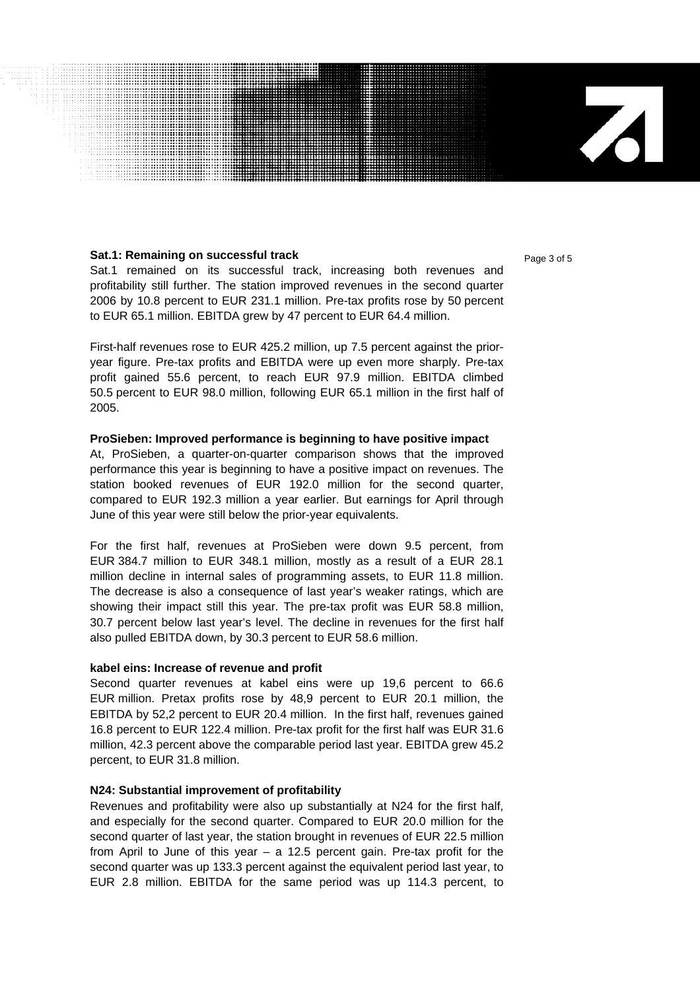#### **Sat.1: Remaining on successful track Page 3 of 5 Page 3 of 5**

Sat.1 remained on its successful track, increasing both revenues and profitability still further. The station improved revenues in the second quarter 2006 by 10.8 percent to EUR 231.1 million. Pre-tax profits rose by 50 percent to EUR 65.1 million. EBITDA grew by 47 percent to EUR 64.4 million.

First-half revenues rose to EUR 425.2 million, up 7.5 percent against the prioryear figure. Pre-tax profits and EBITDA were up even more sharply. Pre-tax profit gained 55.6 percent, to reach EUR 97.9 million. EBITDA climbed 50.5 percent to EUR 98.0 million, following EUR 65.1 million in the first half of 2005.

#### **ProSieben: Improved performance is beginning to have positive impact**

At, ProSieben, a quarter-on-quarter comparison shows that the improved performance this year is beginning to have a positive impact on revenues. The station booked revenues of EUR 192.0 million for the second quarter, compared to EUR 192.3 million a year earlier. But earnings for April through June of this year were still below the prior-year equivalents.

For the first half, revenues at ProSieben were down 9.5 percent, from EUR 384.7 million to EUR 348.1 million, mostly as a result of a EUR 28.1 million decline in internal sales of programming assets, to EUR 11.8 million. The decrease is also a consequence of last year's weaker ratings, which are showing their impact still this year. The pre-tax profit was EUR 58.8 million, 30.7 percent below last year's level. The decline in revenues for the first half also pulled EBITDA down, by 30.3 percent to EUR 58.6 million.

#### **kabel eins: Increase of revenue and profit**

Second quarter revenues at kabel eins were up 19,6 percent to 66.6 EUR million. Pretax profits rose by 48,9 percent to EUR 20.1 million, the EBITDA by 52,2 percent to EUR 20.4 million. In the first half, revenues gained 16.8 percent to EUR 122.4 million. Pre-tax profit for the first half was EUR 31.6 million, 42.3 percent above the comparable period last year. EBITDA grew 45.2 percent, to EUR 31.8 million.

#### **N24: Substantial improvement of profitability**

Revenues and profitability were also up substantially at N24 for the first half, and especially for the second quarter. Compared to EUR 20.0 million for the second quarter of last year, the station brought in revenues of EUR 22.5 million from April to June of this year – a 12.5 percent gain. Pre-tax profit for the second quarter was up 133.3 percent against the equivalent period last year, to EUR 2.8 million. EBITDA for the same period was up 114.3 percent, to

 $\mathbf{Z}$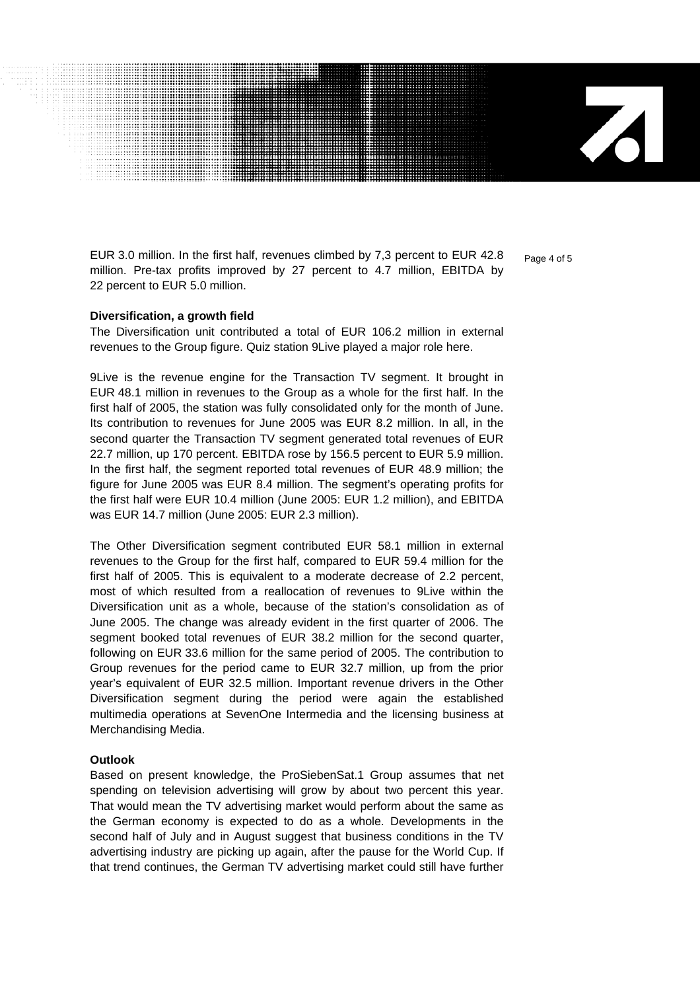EUR 3.0 million. In the first half, revenues climbed by 7,3 percent to EUR 42.8  $P_{\text{Bore 4 of 5}}$ million. Pre-tax profits improved by 27 percent to 4.7 million, EBITDA by 22 percent to EUR 5.0 million.

 $\mathbf{Z}$ 

#### **Diversification, a growth field**

The Diversification unit contributed a total of EUR 106.2 million in external revenues to the Group figure. Quiz station 9Live played a major role here.

9Live is the revenue engine for the Transaction TV segment. It brought in EUR 48.1 million in revenues to the Group as a whole for the first half. In the first half of 2005, the station was fully consolidated only for the month of June. Its contribution to revenues for June 2005 was EUR 8.2 million. In all, in the second quarter the Transaction TV segment generated total revenues of EUR 22.7 million, up 170 percent. EBITDA rose by 156.5 percent to EUR 5.9 million. In the first half, the segment reported total revenues of EUR 48.9 million; the figure for June 2005 was EUR 8.4 million. The segment's operating profits for the first half were EUR 10.4 million (June 2005: EUR 1.2 million), and EBITDA was EUR 14.7 million (June 2005: EUR 2.3 million).

The Other Diversification segment contributed EUR 58.1 million in external revenues to the Group for the first half, compared to EUR 59.4 million for the first half of 2005. This is equivalent to a moderate decrease of 2.2 percent, most of which resulted from a reallocation of revenues to 9Live within the Diversification unit as a whole, because of the station's consolidation as of June 2005. The change was already evident in the first quarter of 2006. The segment booked total revenues of EUR 38.2 million for the second quarter, following on EUR 33.6 million for the same period of 2005. The contribution to Group revenues for the period came to EUR 32.7 million, up from the prior year's equivalent of EUR 32.5 million. Important revenue drivers in the Other Diversification segment during the period were again the established multimedia operations at SevenOne Intermedia and the licensing business at Merchandising Media.

#### **Outlook**

Based on present knowledge, the ProSiebenSat.1 Group assumes that net spending on television advertising will grow by about two percent this year. That would mean the TV advertising market would perform about the same as the German economy is expected to do as a whole. Developments in the second half of July and in August suggest that business conditions in the TV advertising industry are picking up again, after the pause for the World Cup. If that trend continues, the German TV advertising market could still have further